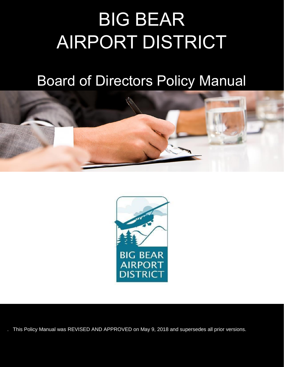# BIG BEAR AIRPORT DISTRICT

### Board of Directors Policy Manual





. This Policy Manual was REVISED AND APPROVED on May 9, 2018 and supersedes all prior versions.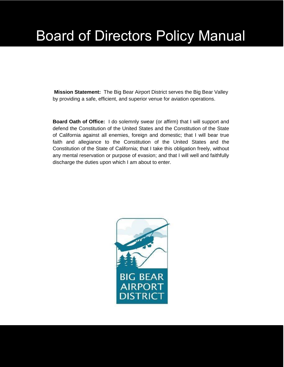## Board of Directors Policy Manual

**Mission Statement:**The Big Bear Airport District serves the Big Bear Valley by providing a safe, efficient, and superior venue for aviation operations.

**Board Oath of Office:** I do solemnly swear (or affirm) that I will support and defend the Constitution of the United States and the Constitution of the State of California against all enemies, foreign and domestic; that I will bear true faith and allegiance to the Constitution of the United States and the Constitution of the State of California; that I take this obligation freely, without any mental reservation or purpose of evasion; and that I will well and faithfully discharge the duties upon which I am about to enter.

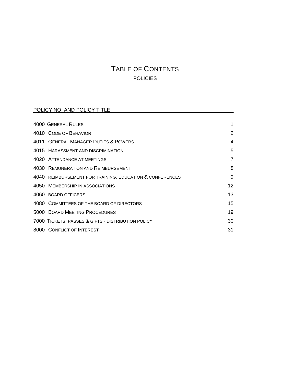### TABLE OF CONTENTS POLICIES

#### POLICY NO. AND POLICY TITLE **Example 20 AU 2014**

| <b>4000 GENERAL RULES</b>                                |                 |
|----------------------------------------------------------|-----------------|
| 4010 CODE OF BEHAVIOR                                    | $\overline{2}$  |
| 4011 GENERAL MANAGER DUTIES & POWERS                     | 4               |
| 4015 HARASSMENT AND DISCRIMINATION                       | 5               |
| 4020 ATTENDANCE AT MEETINGS                              | 7               |
| 4030 REMUNERATION AND REIMBURSEMENT                      | 8               |
| 4040 REIMBURSEMENT FOR TRAINING, EDUCATION & CONFERENCES | 9               |
| 4050 MEMBERSHIP IN ASSOCIATIONS                          | 12 <sup>2</sup> |
| 4060 BOARD OFFICERS                                      | 13              |
| 4080 COMMITTEES OF THE BOARD OF DIRECTORS                | 15              |
| 5000 BOARD MEETING PROCEDURES                            | 19              |
| 7000 TICKETS, PASSES & GIFTS - DISTRIBUTION POLICY       | 30              |
| 8000 CONFLICT OF INTEREST                                | 31              |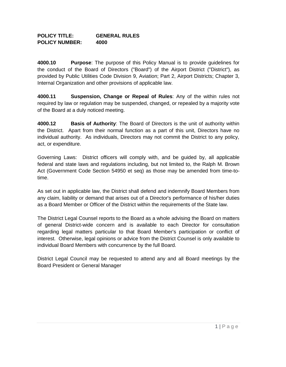#### **POLICY TITLE: GENERAL RULES POLICY NUMBER: 4000**

**4000.10 Purpose**: The purpose of this Policy Manual is to provide guidelines for the conduct of the Board of Directors ("Board") of the Airport District ("District"), as provided by Public Utilities Code Division 9, Aviation; Part 2, Airport Districts; Chapter 3, Internal Organization and other provisions of applicable law.

**4000.11 Suspension, Change or Repeal of Rules**: Any of the within rules not required by law or regulation may be suspended, changed, or repealed by a majority vote of the Board at a duly noticed meeting.

**4000.12 Basis of Authority**: The Board of Directors is the unit of authority within the District. Apart from their normal function as a part of this unit, Directors have no individual authority. As individuals, Directors may not commit the District to any policy, act, or expenditure.

Governing Laws: District officers will comply with, and be guided by, all applicable federal and state laws and regulations including, but not limited to, the Ralph M. Brown Act (Government Code Section 54950 et seq) as those may be amended from time-totime.

As set out in applicable law, the District shall defend and indemnify Board Members from any claim, liability or demand that arises out of a Director's performance of his/her duties as a Board Member or Officer of the District within the requirements of the State law.

The District Legal Counsel reports to the Board as a whole advising the Board on matters of general District-wide concern and is available to each Director for consultation regarding legal matters particular to that Board Member's participation or conflict of interest. Otherwise, legal opinions or advice from the District Counsel is only available to individual Board Members with concurrence by the full Board.

District Legal Council may be requested to attend any and all Board meetings by the Board President or General Manager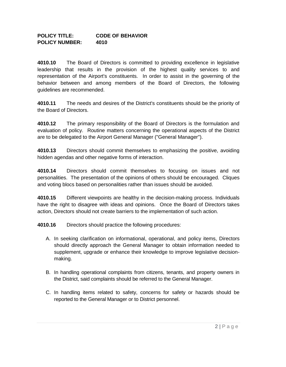#### **POLICY TITLE: CODE OF BEHAVIOR POLICY NUMBER: 4010**

**4010.10** The Board of Directors is committed to providing excellence in legislative leadership that results in the provision of the highest quality services to and representation of the Airport's constituents. In order to assist in the governing of the behavior between and among members of the Board of Directors, the following guidelines are recommended.

**4010.11** The needs and desires of the District's constituents should be the priority of the Board of Directors.

**4010.12** The primary responsibility of the Board of Directors is the formulation and evaluation of policy. Routine matters concerning the operational aspects of the District are to be delegated to the Airport General Manager ("General Manager").

**4010.13** Directors should commit themselves to emphasizing the positive, avoiding hidden agendas and other negative forms of interaction.

**4010.14** Directors should commit themselves to focusing on issues and not personalities. The presentation of the opinions of others should be encouraged. Cliques and voting blocs based on personalities rather than issues should be avoided.

**4010.15** Different viewpoints are healthy in the decision-making process. Individuals have the right to disagree with ideas and opinions. Once the Board of Directors takes action, Directors should not create barriers to the implementation of such action.

**4010.16** Directors should practice the following procedures:

- A. In seeking clarification on informational, operational, and policy items, Directors should directly approach the General Manager to obtain information needed to supplement, upgrade or enhance their knowledge to improve legislative decisionmaking.
- B. In handling operational complaints from citizens, tenants, and property owners in the District, said complaints should be referred to the General Manager.
- C. In handling items related to safety, concerns for safety or hazards should be reported to the General Manager or to District personnel.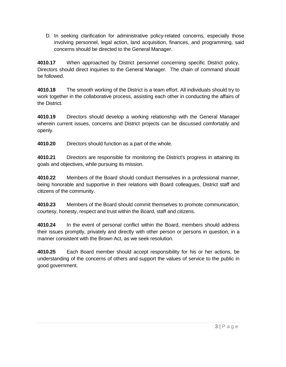D. In seeking clarification for administrative policy-related concerns, especially those involving personnel, legal action, land acquisition, finances, and programming, said concerns should be directed to the General Manager.

**4010.17** When approached by District personnel concerning specific District policy, Directors should direct inquiries to the General Manager. The chain of command should be followed.

**4010.18** The smooth working of the District is a team effort. All individuals should try to work together in the collaborative process, assisting each other in conducting the affairs of the District.

**4010.19** Directors should develop a working relationship with the General Manager wherein current issues, concerns and District projects can be discussed comfortably and openly.

**4010.20** Directors should function as a part of the whole.

**4010.21** Directors are responsible for monitoring the District's progress in attaining its goals and objectives, while pursuing its mission.

**4010.22** Members of the Board should conduct themselves in a professional manner, being honorable and supportive in their relations with Board colleagues, District staff and citizens of the community.

**4010.23** Members of the Board should commit themselves to promote communication, courtesy, honesty, respect and trust within the Board, staff and citizens.

**4010.24** In the event of personal conflict within the Board, members should address their issues promptly, privately and directly with other person or persons in question, in a manner consistent with the Brown Act, as we seek resolution.

**4010.25** Each Board member should accept responsibility for his or her actions, be understanding of the concerns of others and support the values of service to the public in good government.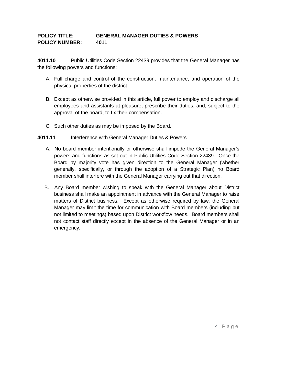#### **POLICY TITLE: GENERAL MANAGER DUTIES & POWERS POLICY NUMBER: 4011**

**4011.10** Public Utilities Code Section 22439 provides that the General Manager has the following powers and functions:

- A. Full charge and control of the construction, maintenance, and operation of the physical properties of the district.
- B. Except as otherwise provided in this article, full power to employ and discharge all employees and assistants at pleasure, prescribe their duties, and, subject to the approval of the board, to fix their compensation.
- C. Such other duties as may be imposed by the Board.

#### **4011.11** Interference with General Manager Duties & Powers

- A. No board member intentionally or otherwise shall impede the General Manager's powers and functions as set out in Public Utilities Code Section 22439. Once the Board by majority vote has given direction to the General Manager (whether generally, specifically, or through the adoption of a Strategic Plan) no Board member shall interfere with the General Manager carrying out that direction.
- B. Any Board member wishing to speak with the General Manager about District business shall make an appointment in advance with the General Manager to raise matters of District business. Except as otherwise required by law, the General Manager may limit the time for communication with Board members (including but not limited to meetings) based upon District workflow needs. Board members shall not contact staff directly except in the absence of the General Manager or in an emergency.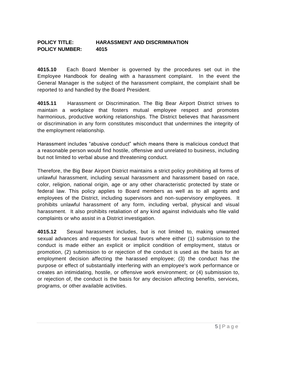#### **POLICY TITLE: HARASSMENT AND DISCRIMINATION POLICY NUMBER: 4015**

**4015.10** Each Board Member is governed by the procedures set out in the Employee Handbook for dealing with a harassment complaint. In the event the General Manager is the subject of the harassment complaint, the complaint shall be reported to and handled by the Board President.

**4015.11** Harassment or Discrimination. The Big Bear Airport District strives to maintain a workplace that fosters mutual employee respect and promotes harmonious, productive working relationships. The District believes that harassment or discrimination in any form constitutes misconduct that undermines the integrity of the employment relationship.

Harassment includes "abusive conduct" which means there is malicious conduct that a reasonable person would find hostile, offensive and unrelated to business, including but not limited to verbal abuse and threatening conduct.

Therefore, the Big Bear Airport District maintains a strict policy prohibiting all forms of unlawful harassment, including sexual harassment and harassment based on race, color, religion, national origin, age or any other characteristic protected by state or federal law. This policy applies to Board members as well as to all agents and employees of the District, including supervisors and non-supervisory employees. It prohibits unlawful harassment of any form, including verbal, physical and visual harassment. It also prohibits retaliation of any kind against individuals who file valid complaints or who assist in a District investigation.

**4015.12** Sexual harassment includes, but is not limited to, making unwanted sexual advances and requests for sexual favors where either (1) submission to the conduct is made either an explicit or implicit condition of employment, status or promotion, (2) submission to or rejection of the conduct is used as the basis for an employment decision affecting the harassed employee; (3) the conduct has the purpose or effect of substantially interfering with an employee's work performance or creates an intimidating, hostile, or offensive work environment; or (4) submission to, or rejection of, the conduct is the basis for any decision affecting benefits, services, programs, or other available activities.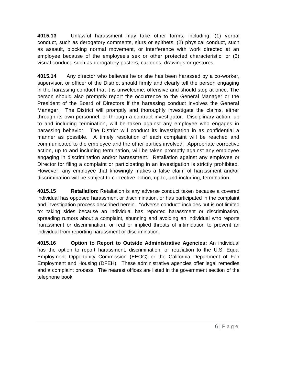**4015.13** Unlawful harassment may take other forms, including: (1) verbal conduct, such as derogatory comments, slurs or epithets; (2) physical conduct, such as assault, blocking normal movement, or interference with work directed at an employee because of the employee's sex or other protected characteristic; or (3) visual conduct, such as derogatory posters, cartoons, drawings or gestures.

**4015.14** Any director who believes he or she has been harassed by a co-worker, supervisor, or officer of the District should firmly and clearly tell the person engaging in the harassing conduct that it is unwelcome, offensive and should stop at once. The person should also promptly report the occurrence to the General Manager or the President of the Board of Directors if the harassing conduct involves the General Manager. The District will promptly and thoroughly investigate the claims, either through its own personnel, or through a contract investigator. Disciplinary action, up to and including termination, will be taken against any employee who engages in harassing behavior. The District will conduct its investigation in as confidential a manner as possible. A timely resolution of each complaint will be reached and communicated to the employee and the other parties involved. Appropriate corrective action, up to and including termination, will be taken promptly against any employee engaging in discrimination and/or harassment. Retaliation against any employee or Director for filing a complaint or participating in an investigation is strictly prohibited. However, any employee that knowingly makes a false claim of harassment and/or discrimination will be subject to corrective action, up to, and including, termination.

**4015.15 Retaliation**: Retaliation is any adverse conduct taken because a covered individual has opposed harassment or discrimination, or has participated in the complaint and investigation process described herein. "Adverse conduct" includes but is not limited to: taking sides because an individual has reported harassment or discrimination, spreading rumors about a complaint, shunning and avoiding an individual who reports harassment or discrimination, or real or implied threats of intimidation to prevent an individual from reporting harassment or discrimination.

**4015.16 Option to Report to Outside Administrative Agencies:** An individual has the option to report harassment, discrimination, or retaliation to the U.S. Equal Employment Opportunity Commission (EEOC) or the California Department of Fair Employment and Housing (DFEH). These administrative agencies offer legal remedies and a complaint process. The nearest offices are listed in the government section of the telephone book.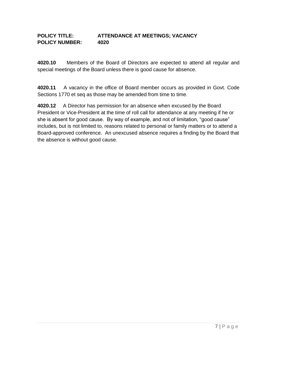#### **POLICY TITLE: ATTENDANCE AT MEETINGS; VACANCY POLICY NUMBER: 4020**

**4020.10** Members of the Board of Directors are expected to attend all regular and special meetings of the Board unless there is good cause for absence.

**4020.11** A vacancy in the office of Board member occurs as provided in Govt. Code Sections 1770 et seq as those may be amended from time to time.

**4020.12** A Director has permission for an absence when excused by the Board President or Vice-President at the time of roll call for attendance at any meeting if he or she is absent for good cause. By way of example, and not of limitation, "good cause" includes, but is not limited to, reasons related to personal or family matters or to attend a Board-approved conference. An unexcused absence requires a finding by the Board that the absence is without good cause.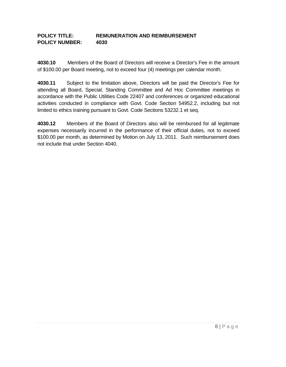#### **POLICY TITLE: REMUNERATION AND REIMBURSEMENT POLICY NUMBER: 4030**

**4030.10** Members of the Board of Directors will receive a Director's Fee in the amount of \$100.00 per Board meeting, not to exceed four (4) meetings per calendar month.

**4030.11** Subject to the limitation above, Directors will be paid the Director's Fee for attending all Board, Special, Standing Committee and Ad Hoc Committee meetings in accordance with the Public Utilities Code 22407 and conferences or organized educational activities conducted in compliance with Govt. Code Section 54952.2, including but not limited to ethics training pursuant to Govt. Code Sections 53232.1 et seq.

**4030.12** Members of the Board of Directors also will be reimbursed for all legitimate expenses necessarily incurred in the performance of their official duties, not to exceed \$100.00 per month, as determined by Motion on July 13, 2011. Such reimbursement does not include that under Section 4040.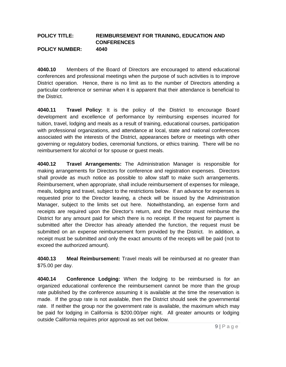#### **POLICY TITLE: REIMBURSEMENT FOR TRAINING, EDUCATION AND CONFERENCES POLICY NUMBER: 4040**

**4040.10** Members of the Board of Directors are encouraged to attend educational conferences and professional meetings when the purpose of such activities is to improve District operation. Hence, there is no limit as to the number of Directors attending a particular conference or seminar when it is apparent that their attendance is beneficial to the District.

**4040.11 Travel Policy:** It is the policy of the District to encourage Board development and excellence of performance by reimbursing expenses incurred for tuition, travel, lodging and meals as a result of training, educational courses, participation with professional organizations, and attendance at local, state and national conferences associated with the interests of the District, appearances before or meetings with other governing or regulatory bodies, ceremonial functions, or ethics training. There will be no reimbursement for alcohol or for spouse or guest meals.

**4040.12 Travel Arrangements:** The Administration Manager is responsible for making arrangements for Directors for conference and registration expenses. Directors shall provide as much notice as possible to allow staff to make such arrangements. Reimbursement, when appropriate, shall include reimbursement of expenses for mileage, meals, lodging and travel, subject to the restrictions below. If an advance for expenses is requested prior to the Director leaving, a check will be issued by the Administration Manager, subject to the limits set out here. Notwithstanding, an expense form and receipts are required upon the Director's return, and the Director must reimburse the District for any amount paid for which there is no receipt. If the request for payment is submitted after the Director has already attended the function, the request must be submitted on an expense reimbursement form provided by the District. In addition, a receipt must be submitted and only the exact amounts of the receipts will be paid (not to exceed the authorized amount).

**4040.13 Meal Reimbursement:** Travel meals will be reimbursed at no greater than \$75.00 per day.

**4040.14 Conference Lodging:** When the lodging to be reimbursed is for an organized educational conference the reimbursement cannot be more than the group rate published by the conference assuming it is available at the time the reservation is made. If the group rate is not available, then the District should seek the governmental rate. If neither the group nor the government rate is available, the maximum which may be paid for lodging in California is \$200.00/per night. All greater amounts or lodging outside California requires prior approval as set out below.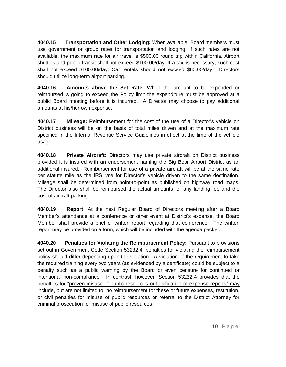**4040.15 Transportation and Other Lodging:** When available, Board members must use government or group rates for transportation and lodging. If such rates are not available, the maximum rate for air travel is \$500.00 round trip within California. Airport shuttles and public transit shall not exceed \$100.00/day. If a taxi is necessary, such cost shall not exceed \$100.00/day. Car rentals should not exceed \$60.00/day. Directors should utilize long-term airport parking.

**4040.16 Amounts above the Set Rate:** When the amount to be expended or reimbursed is going to exceed the Policy limit the expenditure must be approved at a public Board meeting before it is incurred. A Director may choose to pay additional amounts at his/her own expense.

**4040.17 Mileage:** Reimbursement for the cost of the use of a Director's vehicle on District business will be on the basis of total miles driven and at the maximum rate specified in the Internal Revenue Service Guidelines in effect at the time of the vehicle usage.

**4040.18 Private Aircraft:** Directors may use private aircraft on District business provided it is insured with an endorsement naming the Big Bear Airport District as an additional insured. Reimbursement for use of a private aircraft will be at the same rate per statute mile as the IRS rate for Director's vehicle driven to the same destination. Mileage shall be determined from point-to-point as published on highway road maps. The Director also shall be reimbursed the actual amounts for any landing fee and the cost of aircraft parking.

**4040.19 Report:** At the next Regular Board of Directors meeting after a Board Member's attendance at a conference or other event at District's expense, the Board Member shall provide a brief or written report regarding that conference. The written report may be provided on a form, which will be included with the agenda packet.

**4040.20 Penalties for Violating the Reimbursement Policy:** Pursuant to provisions set out in Government Code Section 53232.4, penalties for violating the reimbursement policy should differ depending upon the violation. A violation of the requirement to take the required training every two years (as evidenced by a certificate) could be subject to a penalty such as a public warning by the Board or even censure for continued or intentional non-compliance. In contrast, however, Section 53232.4 provides that the penalties for "proven misuse of public resources or falsification of expense reports" may include, but are not limited to, no reimbursement for these or future expenses, restitution, or civil penalties for misuse of public resources or referral to the District Attorney for criminal prosecution for misuse of public resources.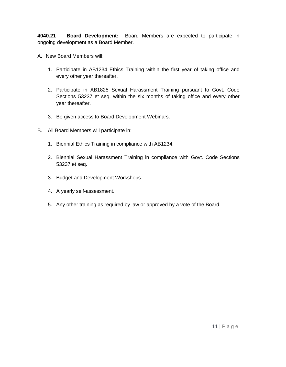**4040.21 Board Development:** Board Members are expected to participate in ongoing development as a Board Member.

- A. New Board Members will:
	- 1. Participate in AB1234 Ethics Training within the first year of taking office and every other year thereafter.
	- 2. Participate in AB1825 Sexual Harassment Training pursuant to Govt. Code Sections 53237 et seq. within the six months of taking office and every other year thereafter.
	- 3. Be given access to Board Development Webinars.
- B. All Board Members will participate in:
	- 1. Biennial Ethics Training in compliance with AB1234.
	- 2. Biennial Sexual Harassment Training in compliance with Govt. Code Sections 53237 et seq.
	- 3. Budget and Development Workshops.
	- 4. A yearly self-assessment.
	- 5. Any other training as required by law or approved by a vote of the Board.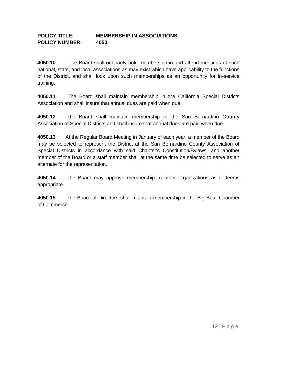#### **POLICY TITLE: MEMBERSHIP IN ASSOCIATIONS POLICY NUMBER: 4050**

**4050.10** The Board shall ordinarily hold membership in and attend meetings of such national, state, and local associations as may exist which have applicability to the functions of the District, and shall look upon such memberships as an opportunity for in-service training.

**4050.11** The Board shall maintain membership in the California Special Districts Association and shall insure that annual dues are paid when due.

**4050.12** The Board shall maintain membership in the San Bernardino County Association of Special Districts and shall insure that annual dues are paid when due.

**4050.13** At the Regular Board Meeting in January of each year, a member of the Board may be selected to represent the District at the San Bernardino County Association of Special Districts in accordance with said Chapter's Constitution/Bylaws, and another member of the Board or a staff member shall at the same time be selected to serve as an alternate for the representation.

**4050.14** The Board may approve membership to other organizations as it deems appropriate.

**4050.15** The Board of Directors shall maintain membership in the Big Bear Chamber of Commerce.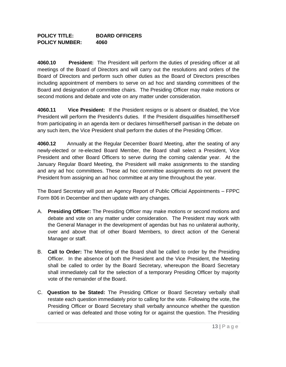#### **POLICY TITLE: BOARD OFFICERS POLICY NUMBER: 4060**

**4060.10 President:** The President will perform the duties of presiding officer at all meetings of the Board of Directors and will carry out the resolutions and orders of the Board of Directors and perform such other duties as the Board of Directors prescribes including appointment of members to serve on ad hoc and standing committees of the Board and designation of committee chairs. The Presiding Officer may make motions or second motions and debate and vote on any matter under consideration.

**4060.11 Vice President:** If the President resigns or is absent or disabled, the Vice President will perform the President's duties. If the President disqualifies himself/herself from participating in an agenda item or declares himself/herself partisan in the debate on any such item, the Vice President shall perform the duties of the Presiding Officer.

**4060.12** Annually at the Regular December Board Meeting, after the seating of any newly-elected or re-elected Board Member, the Board shall select a President, Vice President and other Board Officers to serve during the coming calendar year. At the January Regular Board Meeting, the President will make assignments to the standing and any ad hoc committees. These ad hoc committee assignments do not prevent the President from assigning an ad hoc committee at any time throughout the year.

The Board Secretary will post an Agency Report of Public Official Appointments – FPPC Form 806 in December and then update with any changes.

- A. **Presiding Officer:** The Presiding Officer may make motions or second motions and debate and vote on any matter under consideration. The President may work with the General Manager in the development of agendas but has no unilateral authority, over and above that of other Board Members, to direct action of the General Manager or staff.
- B. **Call to Order:** The Meeting of the Board shall be called to order by the Presiding Officer. In the absence of both the President and the Vice President, the Meeting shall be called to order by the Board Secretary, whereupon the Board Secretary shall immediately call for the selection of a temporary Presiding Officer by majority vote of the remainder of the Board.
- C. **Question to be Stated:** The Presiding Officer or Board Secretary verbally shall restate each question immediately prior to calling for the vote. Following the vote, the Presiding Officer or Board Secretary shall verbally announce whether the question carried or was defeated and those voting for or against the question. The Presiding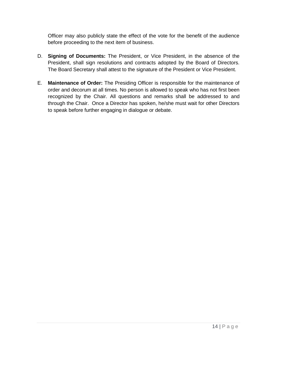Officer may also publicly state the effect of the vote for the benefit of the audience before proceeding to the next item of business.

- D. **Signing of Documents:** The President, or Vice President, in the absence of the President, shall sign resolutions and contracts adopted by the Board of Directors. The Board Secretary shall attest to the signature of the President or Vice President.
- E. **Maintenance of Order:** The Presiding Officer is responsible for the maintenance of order and decorum at all times. No person is allowed to speak who has not first been recognized by the Chair. All questions and remarks shall be addressed to and through the Chair. Once a Director has spoken, he/she must wait for other Directors to speak before further engaging in dialogue or debate.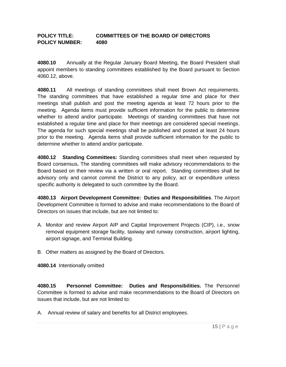#### **POLICY TITLE: COMMITTEES OF THE BOARD OF DIRECTORS POLICY NUMBER: 4080**

**4080.10** Annually at the Regular January Board Meeting, the Board President shall appoint members to standing committees established by the Board pursuant to Section 4060.12, above.

**4080.11** All meetings of standing committees shall meet Brown Act requirements. The standing committees that have established a regular time and place for their meetings shall publish and post the meeting agenda at least 72 hours prior to the meeting. Agenda items must provide sufficient information for the public to determine whether to attend and/or participate. Meetings of standing committees that have not established a regular time and place for their meetings are considered special meetings. The agenda for such special meetings shall be published and posted at least 24 hours prior to the meeting. Agenda items shall provide sufficient information for the public to determine whether to attend and/or participate.

**4080.12 Standing Committees:** Standing committees shall meet when requested by Board consensus**.** The standing committees will make advisory recommendations to the Board based on their review via a written or oral report. Standing committees shall be advisory only and cannot commit the District to any policy, act or expenditure unless specific authority is delegated to such committee by the Board.

**4080.13 Airport Development Committee: Duties and Responsibilities**. The Airport Development Committee is formed to advise and make recommendations to the Board of Directors on issues that include, but are not limited to:

- A. Monitor and review Airport AIP and Capital Improvement Projects (CIP), i.e., snow removal equipment storage facility, taxiway and runway construction, airport lighting, airport signage, and Terminal Building.
- B. Other matters as assigned by the Board of Directors.

**4080.14** Intentionally omitted

**4080.15 Personnel Committee: Duties and Responsibilities.** The Personnel Committee is formed to advise and make recommendations to the Board of Directors on issues that include, but are not limited to:

A. Annual review of salary and benefits for all District employees.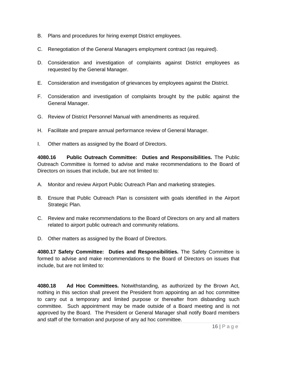- B. Plans and procedures for hiring exempt District employees.
- C. Renegotiation of the General Managers employment contract (as required).
- D. Consideration and investigation of complaints against District employees as requested by the General Manager.
- E. Consideration and investigation of grievances by employees against the District.
- F. Consideration and investigation of complaints brought by the public against the General Manager.
- G. Review of District Personnel Manual with amendments as required.
- H. Facilitate and prepare annual performance review of General Manager.
- I. Other matters as assigned by the Board of Directors.

**4080.16 Public Outreach Committee: Duties and Responsibilities.** The Public Outreach Committee is formed to advise and make recommendations to the Board of Directors on issues that include, but are not limited to:

- A. Monitor and review Airport Public Outreach Plan and marketing strategies.
- B. Ensure that Public Outreach Plan is consistent with goals identified in the Airport Strategic Plan.
- C. Review and make recommendations to the Board of Directors on any and all matters related to airport public outreach and community relations.
- D. Other matters as assigned by the Board of Directors.

**4080.17 Safety Committee: Duties and Responsibilities.** The Safety Committee is formed to advise and make recommendations to the Board of Directors on issues that include, but are not limited to:

**4080.18 Ad Hoc Committees.** Notwithstanding, as authorized by the Brown Act, nothing in this section shall prevent the President from appointing an ad hoc committee to carry out a temporary and limited purpose or thereafter from disbanding such committee. Such appointment may be made outside of a Board meeting and is not approved by the Board. The President or General Manager shall notify Board members and staff of the formation and purpose of any ad hoc committee.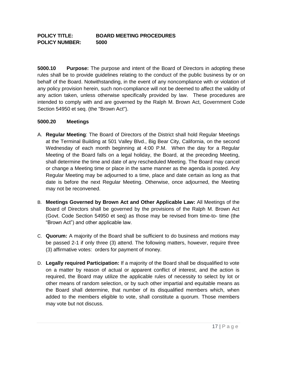#### **POLICY TITLE: BOARD MEETING PROCEDURES POLICY NUMBER: 5000**

**5000.10 Purpose:** The purpose and intent of the Board of Directors in adopting these rules shall be to provide guidelines relating to the conduct of the public business by or on behalf of the Board. Notwithstanding, in the event of any noncompliance with or violation of any policy provision herein, such non-compliance will not be deemed to affect the validity of any action taken, unless otherwise specifically provided by law. These procedures are intended to comply with and are governed by the Ralph M. Brown Act, Government Code Section 54950 et seq. (the "Brown Act").

#### **5000.20 Meetings**

- A. **Regular Meeting**: The Board of Directors of the District shall hold Regular Meetings at the Terminal Building at 501 Valley Blvd., Big Bear City, California, on the second Wednesday of each month beginning at 4:00 P.M. When the day for a Regular Meeting of the Board falls on a legal holiday, the Board, at the preceding Meeting, shall determine the time and date of any rescheduled Meeting. The Board may cancel or change a Meeting time or place in the same manner as the agenda is posted. Any Regular Meeting may be adjourned to a time, place and date certain as long as that date is before the next Regular Meeting. Otherwise, once adjourned, the Meeting may not be reconvened.
- B. **Meetings Governed by Brown Act and Other Applicable Law:** All Meetings of the Board of Directors shall be governed by the provisions of the Ralph M. Brown Act (Govt. Code Section 54950 et seq) as those may be revised from time-to- time (the "Brown Act") and other applicable law.
- C. **Quorum:** A majority of the Board shall be sufficient to do business and motions may be passed 2-1 if only three (3) attend. The following matters, however, require three (3) affirmative votes: orders for payment of money.
- D. **Legally required Participation:** If a majority of the Board shall be disqualified to vote on a matter by reason of actual or apparent conflict of interest, and the action is required, the Board may utilize the applicable rules of necessity to select by lot or other means of random selection, or by such other impartial and equitable means as the Board shall determine, that number of its disqualified members which, when added to the members eligible to vote, shall constitute a quorum. Those members may vote but not discuss.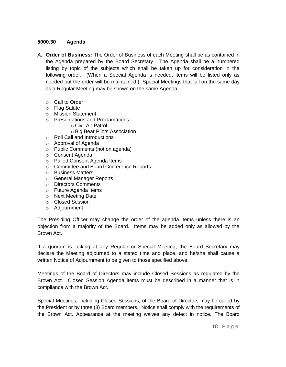#### **5000.30 Agenda**

- A. **Order of Business:** The Order of Business of each Meeting shall be as contained in the Agenda prepared by the Board Secretary. The Agenda shall be a numbered listing by topic of the subjects which shall be taken up for consideration in the following order. (When a Special Agenda is needed, items will be listed only as needed but the order will be maintained.) Special Meetings that fall on the same day as a Regular Meeting may be shown on the same Agenda.
	- o Call to Order
	- o Flag Salute
	- o Mission Statement
	- o Presentations and Proclamations**:**
		- o Civil Air Patrol
		- o Big Bear Pilots Association
	- o Roll Call and Introductions
	- o Approval of Agenda
	- o Public Comments (not on agenda)
	- o Consent Agenda
	- o Pulled Consent Agenda Items
	- o Committee and Board Conference Reports
	- o Business Matters
	- o General Manager Reports
	- o Directors Comments
	- o Future Agenda Items
	- o Next Meeting Date
	- o Closed Session
	- o Adjournment

The Presiding Officer may change the order of the agenda items unless there is an objection from a majority of the Board. Items may be added only as allowed by the Brown Act.

If a quorum is lacking at any Regular or Special Meeting, the Board Secretary may declare the Meeting adjourned to a stated time and place, and he/she shall cause a written Notice of Adjournment to be given to those specified above.

Meetings of the Board of Directors may include Closed Sessions as regulated by the Brown Act. Closed Session Agenda items must be described in a manner that is in compliance with the Brown Act.

Special Meetings, including Closed Sessions, of the Board of Directors may be called by the President or by three (3) Board members. Notice shall comply with the requirements of the Brown Act. Appearance at the meeting waives any defect in notice. The Board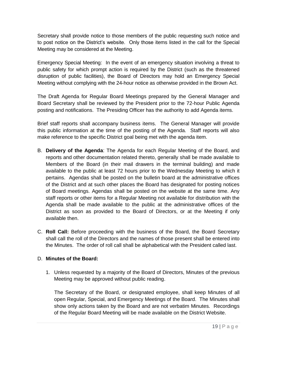Secretary shall provide notice to those members of the public requesting such notice and to post notice on the District's website. Only those items listed in the call for the Special Meeting may be considered at the Meeting.

Emergency Special Meeting: In the event of an emergency situation involving a threat to public safety for which prompt action is required by the District (such as the threatened disruption of public facilities), the Board of Directors may hold an Emergency Special Meeting without complying with the 24-hour notice as otherwise provided in the Brown Act.

The Draft Agenda for Regular Board Meetings prepared by the General Manager and Board Secretary shall be reviewed by the President prior to the 72-hour Public Agenda posting and notifications. The Presiding Officer has the authority to add Agenda items.

Brief staff reports shall accompany business items. The General Manager will provide this public information at the time of the posting of the Agenda. Staff reports will also make reference to the specific District goal being met with the agenda item.

- B. **Delivery of the Agenda**: The Agenda for each Regular Meeting of the Board, and reports and other documentation related thereto, generally shall be made available to Members of the Board (in their mail drawers in the terminal building) and made available to the public at least 72 hours prior to the Wednesday Meeting to which it pertains. Agendas shall be posted on the bulletin board at the administrative offices of the District and at such other places the Board has designated for posting notices of Board meetings. Agendas shall be posted on the website at the same time. Any staff reports or other items for a Regular Meeting not available for distribution with the Agenda shall be made available to the public at the administrative offices of the District as soon as provided to the Board of Directors, or at the Meeting if only available then.
- C. **Roll Call:** Before proceeding with the business of the Board, the Board Secretary shall call the roll of the Directors and the names of those present shall be entered into the Minutes. The order of roll call shall be alphabetical with the President called last.

#### D. **Minutes of the Board:**

1. Unless requested by a majority of the Board of Directors, Minutes of the previous Meeting may be approved without public reading.

 The Secretary of the Board, or designated employee, shall keep Minutes of all open Regular, Special, and Emergency Meetings of the Board. The Minutes shall show only actions taken by the Board and are not verbatim Minutes. Recordings of the Regular Board Meeting will be made available on the District Website.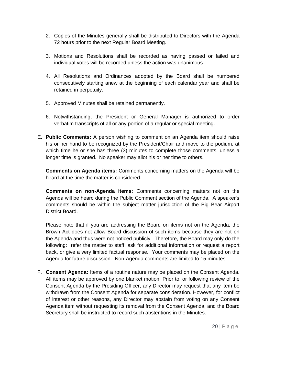- 2. Copies of the Minutes generally shall be distributed to Directors with the Agenda 72 hours prior to the next Regular Board Meeting.
- 3. Motions and Resolutions shall be recorded as having passed or failed and individual votes will be recorded unless the action was unanimous.
- 4. All Resolutions and Ordinances adopted by the Board shall be numbered consecutively starting anew at the beginning of each calendar year and shall be retained in perpetuity.
- 5. Approved Minutes shall be retained permanently.
- 6. Notwithstanding, the President or General Manager is authorized to order verbatim transcripts of all or any portion of a regular or special meeting.
- E. **Public Comments:** A person wishing to comment on an Agenda item should raise his or her hand to be recognized by the President/Chair and move to the podium, at which time he or she has three (3) minutes to complete those comments, unless a longer time is granted. No speaker may allot his or her time to others.

**Comments on Agenda items:** Comments concerning matters on the Agenda will be heard at the time the matter is considered.

**Comments on non-Agenda items:** Comments concerning matters not on the Agenda will be heard during the Public Comment section of the Agenda. A speaker's comments should be within the subject matter jurisdiction of the Big Bear Airport District Board.

Please note that if you are addressing the Board on items not on the Agenda, the Brown Act does not allow Board discussion of such items because they are not on the Agenda and thus were not noticed publicly. Therefore, the Board may only do the following: refer the matter to staff, ask for additional information or request a report back, or give a very limited factual response. Your comments may be placed on the Agenda for future discussion. Non-Agenda comments are limited to 15 minutes.

F. **Consent Agenda:** Items of a routine nature may be placed on the Consent Agenda. All items may be approved by one blanket motion. Prior to, or following review of the Consent Agenda by the Presiding Officer, any Director may request that any item be withdrawn from the Consent Agenda for separate consideration. However, for conflict of interest or other reasons, any Director may abstain from voting on any Consent Agenda item without requesting its removal from the Consent Agenda, and the Board Secretary shall be instructed to record such abstentions in the Minutes.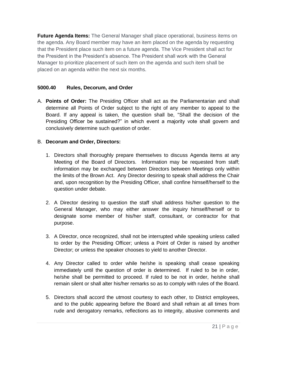**Future Agenda Items:** The General Manager shall place operational, business items on the agenda. Any Board member may have an item placed on the agenda by requesting that the President place such item on a future agenda. The Vice President shall act for the President in the President's absence. The President shall work with the General Manager to prioritize placement of such item on the agenda and such item shall be placed on an agenda within the next six months.

#### **5000.40 Rules, Decorum, and Order**

A. **Points of Order:** The Presiding Officer shall act as the Parliamentarian and shall determine all Points of Order subject to the right of any member to appeal to the Board. If any appeal is taken, the question shall be, "Shall the decision of the Presiding Officer be sustained?" in which event a majority vote shall govern and conclusively determine such question of order.

#### B. **Decorum and Order, Directors:**

- 1. Directors shall thoroughly prepare themselves to discuss Agenda items at any Meeting of the Board of Directors. Information may be requested from staff; information may be exchanged between Directors between Meetings only within the limits of the Brown Act. Any Director desiring to speak shall address the Chair and, upon recognition by the Presiding Officer, shall confine himself/herself to the question under debate.
- 2. A Director desiring to question the staff shall address his/her question to the General Manager, who may either answer the inquiry himself/herself or to designate some member of his/her staff, consultant, or contractor for that purpose.
- 3. A Director, once recognized, shall not be interrupted while speaking unless called to order by the Presiding Officer; unless a Point of Order is raised by another Director; or unless the speaker chooses to yield to another Director.
- 4. Any Director called to order while he/she is speaking shall cease speaking immediately until the question of order is determined. If ruled to be in order, he/she shall be permitted to proceed. If ruled to be not in order, he/she shall remain silent or shall alter his/her remarks so as to comply with rules of the Board.
- 5. Directors shall accord the utmost courtesy to each other, to District employees, and to the public appearing before the Board and shall refrain at all times from rude and derogatory remarks, reflections as to integrity, abusive comments and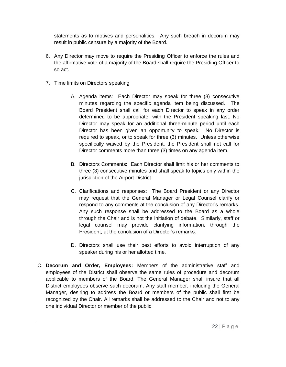statements as to motives and personalities. Any such breach in decorum may result in public censure by a majority of the Board.

- 6. Any Director may move to require the Presiding Officer to enforce the rules and the affirmative vote of a majority of the Board shall require the Presiding Officer to so act.
- 7. Time limits on Directors speaking
	- A. Agenda items: Each Director may speak for three (3) consecutive minutes regarding the specific agenda item being discussed. The Board President shall call for each Director to speak in any order determined to be appropriate, with the President speaking last. No Director may speak for an additional three-minute period until each Director has been given an opportunity to speak. No Director is required to speak, or to speak for three (3) minutes. Unless otherwise specifically waived by the President, the President shall not call for Director comments more than three (3) times on any agenda item.
	- B. Directors Comments: Each Director shall limit his or her comments to three (3) consecutive minutes and shall speak to topics only within the jurisdiction of the Airport District.
	- C. Clarifications and responses: The Board President or any Director may request that the General Manager or Legal Counsel clarify or respond to any comments at the conclusion of any Director's remarks. Any such response shall be addressed to the Board as a whole through the Chair and is not the initiation of debate. Similarly, staff or legal counsel may provide clarifying information, through the President, at the conclusion of a Director's remarks.
	- D. Directors shall use their best efforts to avoid interruption of any speaker during his or her allotted time.
- C. **Decorum and Order, Employees:** Members of the administrative staff and employees of the District shall observe the same rules of procedure and decorum applicable to members of the Board. The General Manager shall insure that all District employees observe such decorum. Any staff member, including the General Manager, desiring to address the Board or members of the public shall first be recognized by the Chair. All remarks shall be addressed to the Chair and not to any one individual Director or member of the public.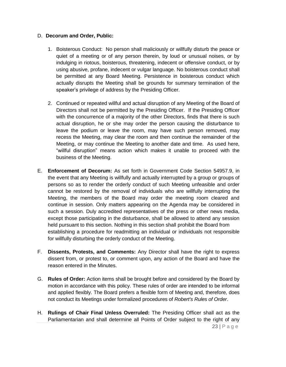#### D. **Decorum and Order, Public:**

- 1. Boisterous Conduct: No person shall maliciously or willfully disturb the peace or quiet of a meeting or of any person therein, by loud or unusual noises, or by indulging in riotous, boisterous, threatening, indecent or offensive conduct, or by using abusive, profane, indecent or vulgar language. No boisterous conduct shall be permitted at any Board Meeting. Persistence in boisterous conduct which actually disrupts the Meeting shall be grounds for summary termination of the speaker's privilege of address by the Presiding Officer.
- 2. Continued or repeated willful and actual disruption of any Meeting of the Board of Directors shall not be permitted by the Presiding Officer. If the Presiding Officer with the concurrence of a majority of the other Directors, finds that there is such actual disruption, he or she may order the person causing the disturbance to leave the podium or leave the room, may have such person removed, may recess the Meeting, may clear the room and then continue the remainder of the Meeting, or may continue the Meeting to another date and time. As used here, "willful disruption" means action which makes it unable to proceed with the business of the Meeting.
- E. **Enforcement of Decorum:** As set forth in Government Code Section 54957.9, in the event that any Meeting is willfully and actually interrupted by a group or groups of persons so as to render the orderly conduct of such Meeting unfeasible and order cannot be restored by the removal of individuals who are willfully interrupting the Meeting, the members of the Board may order the meeting room cleared and continue in session. Only matters appearing on the Agenda may be considered in such a session. Duly accredited representatives of the press or other news media, except those participating in the disturbance, shall be allowed to attend any session held pursuant to this section. Nothing in this section shall prohibit the Board from establishing a procedure for readmitting an individual or individuals not responsible for willfully disturbing the orderly conduct of the Meeting.
- F. **Dissents, Protests, and Comments:** Any Director shall have the right to express dissent from, or protest to, or comment upon, any action of the Board and have the reason entered in the Minutes.
- G. **Rules of Order:** Action items shall be brought before and considered by the Board by motion in accordance with this policy. These rules of order are intended to be informal and applied flexibly. The Board prefers a flexible form of Meeting and, therefore, does not conduct its Meetings under formalized procedures of *Robert's Rules of Order*.
- 23 | P a g e H. **Rulings of Chair Final Unless Overruled:** The Presiding Officer shall act as the Parliamentarian and shall determine all Points of Order subject to the right of any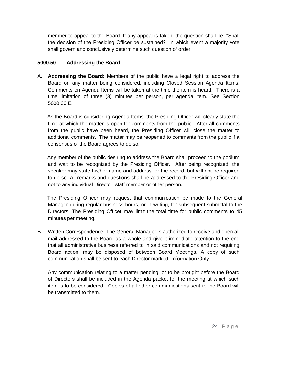member to appeal to the Board. If any appeal is taken, the question shall be, "Shall the decision of the Presiding Officer be sustained?" in which event a majority vote shall govern and conclusively determine such question of order.

#### **5000.50 Addressing the Board**

.

A. **Addressing the Board:** Members of the public have a legal right to address the Board on any matter being considered, including Closed Session Agenda Items. Comments on Agenda Items will be taken at the time the item is heard. There is a time limitation of three (3) minutes per person, per agenda item. See Section 5000.30 E.

 As the Board is considering Agenda Items, the Presiding Officer will clearly state the time at which the matter is open for comments from the public. After all comments from the public have been heard, the Presiding Officer will close the matter to additional comments. The matter may be reopened to comments from the public if a consensus of the Board agrees to do so.

 Any member of the public desiring to address the Board shall proceed to the podium and wait to be recognized by the Presiding Officer. After being recognized, the speaker may state his/her name and address for the record, but will not be required to do so. All remarks and questions shall be addressed to the Presiding Officer and not to any individual Director, staff member or other person.

 The Presiding Officer may request that communication be made to the General Manager during regular business hours, or in writing, for subsequent submittal to the Directors. The Presiding Officer may limit the total time for public comments to 45 minutes per meeting.

B. Written Correspondence: The General Manager is authorized to receive and open all mail addressed to the Board as a whole and give it immediate attention to the end that all administrative business referred to in said communications and not requiring Board action, may be disposed of between Board Meetings. A copy of such communication shall be sent to each Director marked "Information Only".

Any communication relating to a matter pending, or to be brought before the Board of Directors shall be included in the Agenda packet for the meeting at which such item is to be considered. Copies of all other communications sent to the Board will be transmitted to them.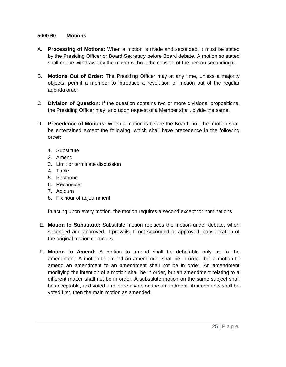#### **5000.60 Motions**

- A. **Processing of Motions:** When a motion is made and seconded, it must be stated by the Presiding Officer or Board Secretary before Board debate. A motion so stated shall not be withdrawn by the mover without the consent of the person seconding it.
- B. **Motions Out of Order:** The Presiding Officer may at any time, unless a majority objects, permit a member to introduce a resolution or motion out of the regular agenda order.
- C. **Division of Question:** If the question contains two or more divisional propositions, the Presiding Officer may, and upon request of a Member shall, divide the same.
- D. **Precedence of Motions:** When a motion is before the Board, no other motion shall be entertained except the following, which shall have precedence in the following order:
	- 1. Substitute
	- 2. Amend
	- 3. Limit or terminate discussion
	- 4. Table
	- 5. Postpone
	- 6. Reconsider
	- 7. Adjourn
	- 8. Fix hour of adjournment

In acting upon every motion, the motion requires a second except for nominations

- E. **Motion to Substitute:** Substitute motion replaces the motion under debate; when seconded and approved, it prevails. If not seconded or approved, consideration of the original motion continues.
- F. **Motion to Amend:** A motion to amend shall be debatable only as to the amendment. A motion to amend an amendment shall be in order, but a motion to amend an amendment to an amendment shall not be in order. An amendment modifying the intention of a motion shall be in order, but an amendment relating to a different matter shall not be in order. A substitute motion on the same subject shall be acceptable, and voted on before a vote on the amendment. Amendments shall be voted first, then the main motion as amended.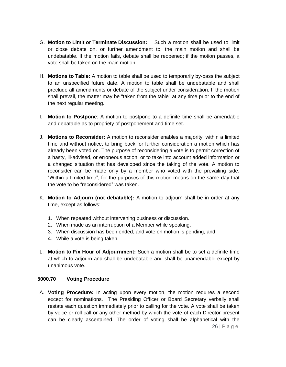- G. **Motion to Limit or Terminate Discussion:** Such a motion shall be used to limit or close debate on, or further amendment to, the main motion and shall be undebatable. If the motion fails, debate shall be reopened; if the motion passes, a vote shall be taken on the main motion.
- H. **Motions to Table:** A motion to table shall be used to temporarily by-pass the subject to an unspecified future date. A motion to table shall be undebatable and shall preclude all amendments or debate of the subject under consideration. If the motion shall prevail, the matter may be "taken from the table" at any time prior to the end of the next regular meeting.
- I. **Motion to Postpone**: A motion to postpone to a definite time shall be amendable and debatable as to propriety of postponement and time set.
- J. **Motions to Reconsider:** A motion to reconsider enables a majority, within a limited time and without notice, to bring back for further consideration a motion which has already been voted on. The purpose of reconsidering a vote is to permit correction of a hasty, ill-advised, or erroneous action, or to take into account added information or a changed situation that has developed since the taking of the vote. A motion to reconsider can be made only by a member who voted with the prevailing side. "Within a limited time", for the purposes of this motion means on the same day that the vote to be "reconsidered" was taken.
- K. **Motion to Adjourn (not debatable):** A motion to adjourn shall be in order at any time, except as follows:
	- 1. When repeated without intervening business or discussion.
	- 2. When made as an interruption of a Member while speaking.
	- 3. When discussion has been ended, and vote on motion is pending, and
	- 4. While a vote is being taken.
- L. **Motion to Fix Hour of Adjournment:** Such a motion shall be to set a definite time at which to adjourn and shall be undebatable and shall be unamendable except by unanimous vote.

#### **5000.70 Voting Procedure**

A. **Voting Procedure:** In acting upon every motion, the motion requires a second except for nominations. The Presiding Officer or Board Secretary verbally shall restate each question immediately prior to calling for the vote. A vote shall be taken by voice or roll call or any other method by which the vote of each Director present can be clearly ascertained. The order of voting shall be alphabetical with the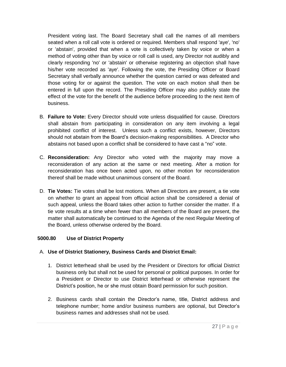President voting last. The Board Secretary shall call the names of all members seated when a roll call vote is ordered or required. Members shall respond 'aye', 'no' or 'abstain', provided that when a vote is collectively taken by voice or when a method of voting other than by voice or roll call is used, any Director not audibly and clearly responding 'no' or 'abstain' or otherwise registering an objection shall have his/her vote recorded as 'aye'. Following the vote, the Presiding Officer or Board Secretary shall verbally announce whether the question carried or was defeated and those voting for or against the question. The vote on each motion shall then be entered in full upon the record. The Presiding Officer may also publicly state the effect of the vote for the benefit of the audience before proceeding to the next item of business.

- B. **Failure to Vote:** Every Director should vote unless disqualified for cause. Directors shall abstain from participating in consideration on any item involving a legal prohibited conflict of interest. Unless such a conflict exists, however, Directors should not abstain from the Board's decision-making responsibilities. A Director who abstains not based upon a conflict shall be considered to have cast a "no" vote.
- C. **Reconsideration:** Any Director who voted with the majority may move a reconsideration of any action at the same or next meeting. After a motion for reconsideration has once been acted upon, no other motion for reconsideration thereof shall be made without unanimous consent of the Board.
- D. **Tie Votes:** Tie votes shall be lost motions. When all Directors are present, a tie vote on whether to grant an appeal from official action shall be considered a denial of such appeal, unless the Board takes other action to further consider the matter. If a tie vote results at a time when fewer than all members of the Board are present, the matter shall automatically be continued to the Agenda of the next Regular Meeting of the Board, unless otherwise ordered by the Board.

#### **5000.80 Use of District Property**

#### A. **Use of District Stationery, Business Cards and District Email:**

- 1. District letterhead shall be used by the President or Directors for official District business only but shall not be used for personal or political purposes. In order for a President or Director to use District letterhead or otherwise represent the District's position, he or she must obtain Board permission for such position.
- 2. Business cards shall contain the Director's name, title, District address and telephone number; home and/or business numbers are optional, but Director's business names and addresses shall not be used.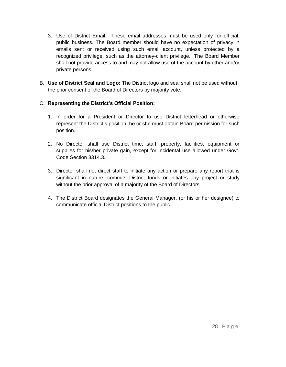- 3. Use of District Email. These email addresses must be used only for official, public business. The Board member should have no expectation of privacy in emails sent or received using such email account, unless protected by a recognized privilege, such as the attorney-client privilege. The Board Member shall not provide access to and may not allow use of the account by other and/or private persons.
- B. **Use of District Seal and Logo:** The District logo and seal shall not be used without the prior consent of the Board of Directors by majority vote.

#### C. **Representing the District's Official Position:**

- 1. In order for a President or Director to use District letterhead or otherwise represent the District's position, he or she must obtain Board permission for such position.
- 2. No Director shall use District time, staff, property, facilities, equipment or supplies for his/her private gain, except for incidental use allowed under Govt. Code Section 8314.3.
- 3. Director shall not direct staff to initiate any action or prepare any report that is significant in nature, commits District funds or initiates any project or study without the prior approval of a majority of the Board of Directors.
- 4. The District Board designates the General Manager, (or his or her designee) to communicate official District positions to the public.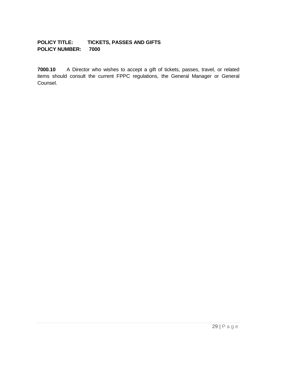#### **POLICY TITLE: TICKETS, PASSES AND GIFTS POLICY NUMBER: 7000**

**7000.10** A Director who wishes to accept a gift of tickets, passes, travel, or related items should consult the current FPPC regulations, the General Manager or General Counsel.